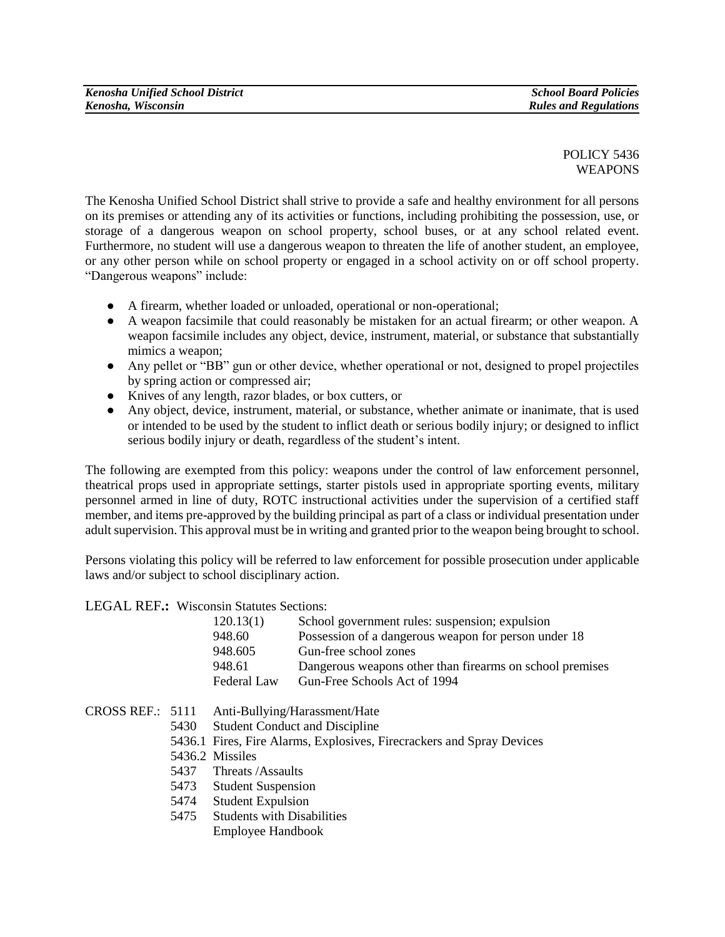POLICY 5436 **WEAPONS** 

The Kenosha Unified School District shall strive to provide a safe and healthy environment for all persons on its premises or attending any of its activities or functions, including prohibiting the possession, use, or storage of a dangerous weapon on school property, school buses, or at any school related event. Furthermore, no student will use a dangerous weapon to threaten the life of another student, an employee, or any other person while on school property or engaged in a school activity on or off school property. "Dangerous weapons" include:

- A firearm, whether loaded or unloaded, operational or non-operational;
- A weapon facsimile that could reasonably be mistaken for an actual firearm; or other weapon. A weapon facsimile includes any object, device, instrument, material, or substance that substantially mimics a weapon;
- Any pellet or "BB" gun or other device, whether operational or not, designed to propel projectiles by spring action or compressed air;
- Knives of any length, razor blades, or box cutters, or
- Any object, device, instrument, material, or substance, whether animate or inanimate, that is used or intended to be used by the student to inflict death or serious bodily injury; or designed to inflict serious bodily injury or death, regardless of the student's intent.

The following are exempted from this policy: weapons under the control of law enforcement personnel, theatrical props used in appropriate settings, starter pistols used in appropriate sporting events, military personnel armed in line of duty, ROTC instructional activities under the supervision of a certified staff member, and items pre-approved by the building principal as part of a class or individual presentation under adult supervision. This approval must be in writing and granted prior to the weapon being brought to school.

Persons violating this policy will be referred to law enforcement for possible prosecution under applicable laws and/or subject to school disciplinary action.

## LEGAL REF**.:** Wisconsin Statutes Sections:

| 120.13(1)   | School government rules: suspension; expulsion           |
|-------------|----------------------------------------------------------|
| 948.60      | Possession of a dangerous weapon for person under 18     |
| 948.605     | Gun-free school zones                                    |
| 948.61      | Dangerous weapons other than firearms on school premises |
| Federal Law | Gun-Free Schools Act of 1994                             |

- CROSS REF.: 5111 Anti-Bullying/Harassment/Hate
	- 5430 Student Conduct and Discipline
		- 5436.1 Fires, Fire Alarms, Explosives, Firecrackers and Spray Devices
		- 5436.2 Missiles
		- 5437 Threats /Assaults
		- 5473 Student Suspension
		- 5474 Student Expulsion
		- 5475 Students with Disabilities
			- Employee Handbook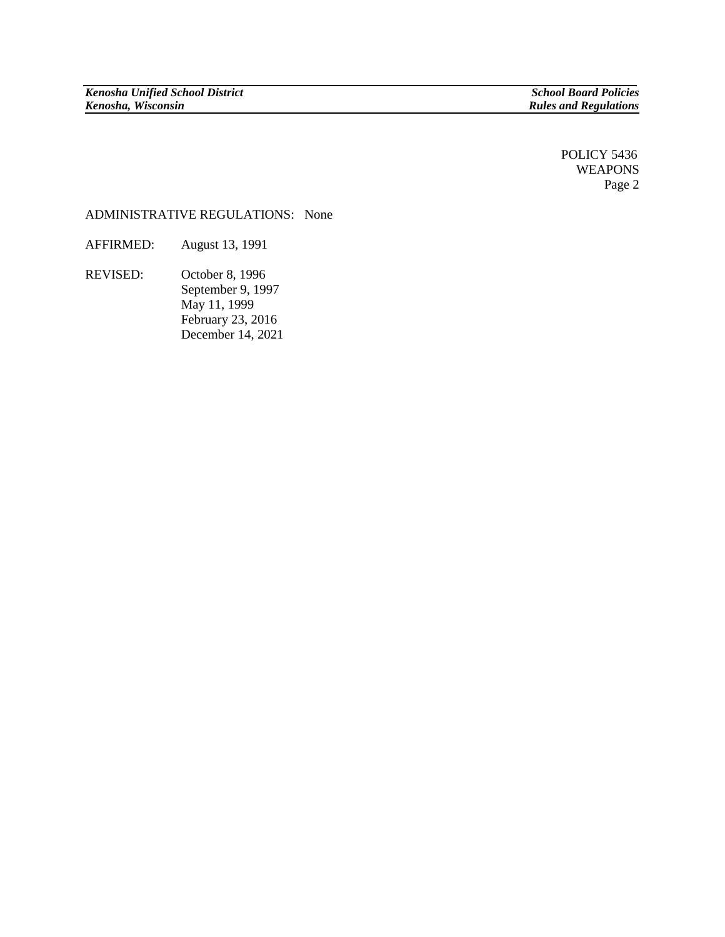POLICY 5436 WEAPONS Page 2

## ADMINISTRATIVE REGULATIONS:None

AFFIRMED: August 13, 1991

REVISED: October 8, 1996 September 9, 1997 May 11, 1999 February 23, 2016 December 14, 2021